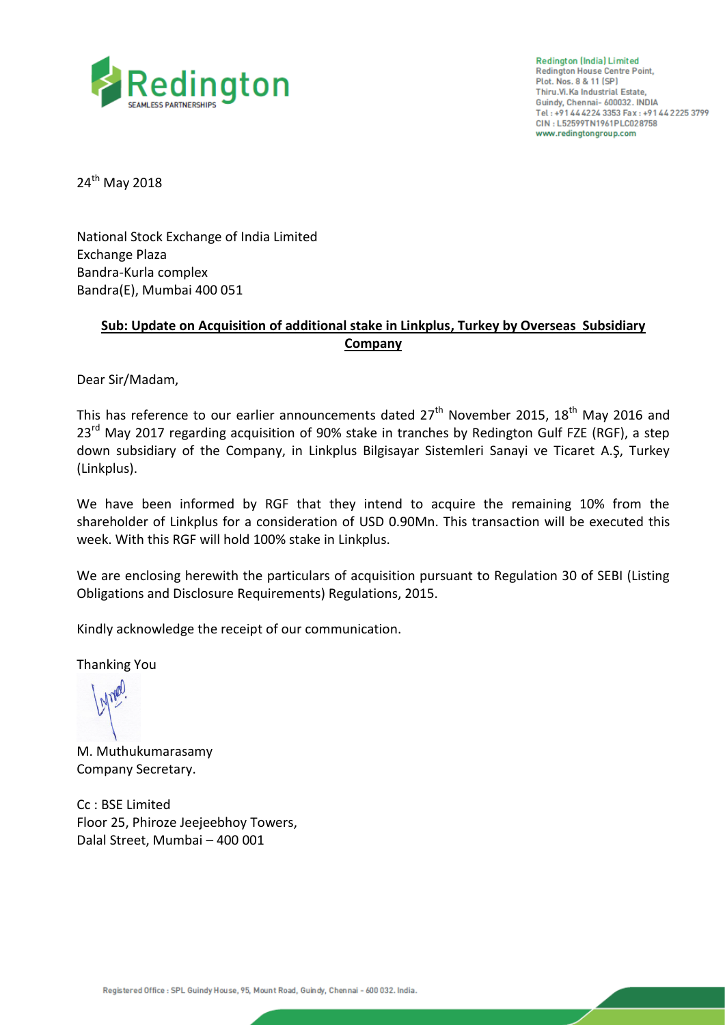

**Redington (India) Limited Redington House Centre Point,** Plot. Nos. 8 & 11 (SP) Thiru.Vi.Ka Industrial Estate, Guindy, Chennai- 600032. INDIA Tel: +91 44 4224 3353 Fax: +91 44 2225 3799 CIN: L52599TN1961PLC028758 www.redingtongroup.com

24<sup>th</sup> May 2018

National Stock Exchange of India Limited Exchange Plaza Bandra-Kurla complex Bandra(E), Mumbai 400 051

## **Sub: Update on Acquisition of additional stake in Linkplus, Turkey by Overseas Subsidiary Company**

Dear Sir/Madam,

This has reference to our earlier announcements dated  $27<sup>th</sup>$  November 2015, 18<sup>th</sup> May 2016 and 23<sup>rd</sup> Mav 2017 regarding acquisition of 90% stake in tranches by Redington Gulf FZE (RGF), a step down subsidiary of the Company, in Linkplus Bilgisayar Sistemleri Sanayi ve Ticaret A.Ş, Turkey (Linkplus).

We have been informed by RGF that they intend to acquire the remaining 10% from the shareholder of Linkplus for a consideration of USD 0.90Mn. This transaction will be executed this week. With this RGF will hold 100% stake in Linkplus.

We are enclosing herewith the particulars of acquisition pursuant to Regulation 30 of SEBI (Listing Obligations and Disclosure Requirements) Regulations, 2015.

Kindly acknowledge the receipt of our communication.

Thanking You

M. Muthukumarasamy Company Secretary.

Cc : BSE Limited Floor 25, Phiroze Jeejeebhoy Towers, Dalal Street, Mumbai – 400 001